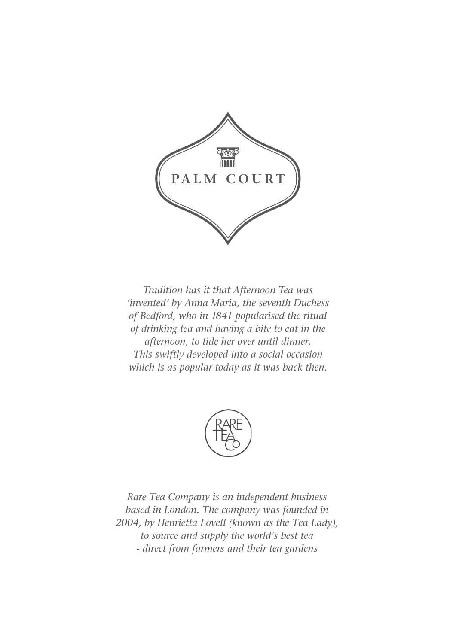

*Tradition has it that Afternoon Tea was 'invented' by Anna Maria, the seventh Duchess of Bedford, who in 1841 popularised the ritual of drinking tea and having a bite to eat in the afternoon, to tide her over until dinner. This swiftly developed into a social occasion which is as popular today as it was back then.*



*Rare Tea Company is an independent business based in London. The company was founded in 2004, by Henrietta Lovell (known as the Tea Lady), to source and supply the world's best tea - direct from farmers and their tea gardens*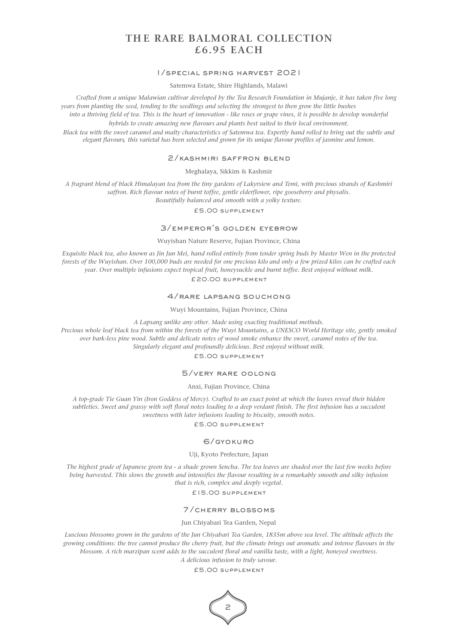# **TH E RARE BALMORAL COLLECTION £6.95 EACH**

#### 1/special spring harvest 2021

Satemwa Estate, Shire Highlands, Malawi

*Crafted from a unique Malawian cultivar developed by the Tea Research Foundation in Mujanje, it has taken five long years from planting the seed, tending to the seedlings and selecting the strongest to then grow the little bushes into a thriving field of tea. This is the heart of innovation - like roses or grape vines, it is possible to develop wonderful hybrids to create amazing new flavours and plants best suited to their local environment. Black tea with the sweet caramel and malty characteristics of Satemwa tea. Expertly hand rolled to bring out the subtle and elegant flavours, this varietal has been selected and grown for its unique flavour profiles of jasmine and lemon.*

#### 2/kashmiri saffron blend

#### Meghalaya, Sikkim & Kashmir

*A fragrant blend of black Himalayan tea from the tiny gardens of Lakyrsiew and Temi, with precious strands of Kashmiri saffron. Rich flavour notes of burnt toffee, gentle elderflower, ripe gooseberry and physalis. Beautifully balanced and smooth with a yolky texture.*

£5.00 supplement

## 3/emperor's golden eyebrow

## Wuyishan Nature Reserve, Fujian Province, China

*Exquisite black tea, also known as Jin Jun Mei, hand rolled entirely from tender spring buds by Master Wen in the protected forests of the Wuyishan. Over 100,000 buds are needed for one precious kilo and only a few prized kilos can be crafted each year. Over multiple infusions expect tropical fruit, honeysuckle and burnt toffee. Best enjoyed without milk.*

£20.00 supplement

## 4/rare lapsang souchong

Wuyi Mountains, Fujian Province, China

*A Lapsang unlike any other. Made using exacting traditional methods.*

*Precious whole leaf black tea from within the forests of the Wuyi Mountains, a UNESCO World Heritage site, gently smoked over bark-less pine wood. Subtle and delicate notes of wood smoke enhance the sweet, caramel notes of the tea. Singularly elegant and profoundly delicious. Best enjoyed without milk.*

£5.00 supplement

## 5/very rare oolong

#### Anxi, Fujian Province, China

*A top-grade Tie Guan Yin (Iron Goddess of Mercy). Crafted to an exact point at which the leaves reveal their hidden subtleties. Sweet and grassy with soft floral notes leading to a deep verdant finish. The first infusion has a succulent sweetness with later infusions leading to biscuity, smooth notes.*

#### £5.00 supplement

## 6/gyokuro

#### Uji, Kyoto Prefecture, Japan

*The highest grade of Japanese green tea - a shade grown Sencha. The tea leaves are shaded over the last few weeks before being harvested. This slows the growth and intensifies the flavour resulting in a remarkably smooth and silky infusion that is rich, complex and deeply vegetal.*

£15.00 supplement

#### 7/cherry blossoms

## Jun Chiyabari Tea Garden, Nepal

*Luscious blossoms grown in the gardens of the Jun Chiyabari Tea Garden, 1835m above sea level. The altitude affects the growing conditions: the tree cannot produce the cherry fruit, but the climate brings out aromatic and intense flavours in the blossom. A rich marzipan scent adds to the succulent floral and vanilla taste, with a light, honeyed sweetness. A delicious infusion to truly savour.*

£5.00 supplement

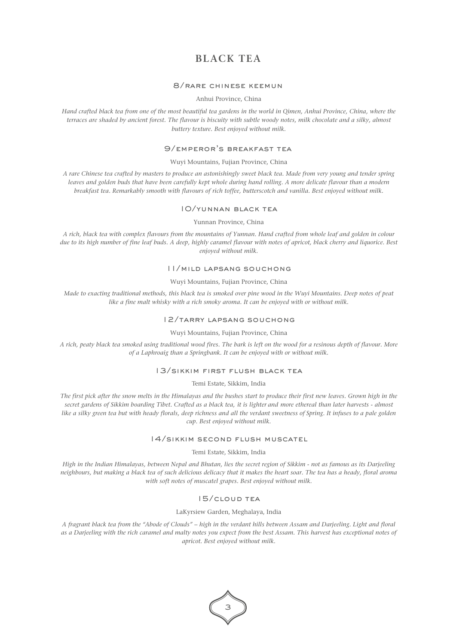# **BLACK TEA**

## 8/rare chinese keemun

## Anhui Province, China

*Hand crafted black tea from one of the most beautiful tea gardens in the world in Qimen, Anhui Province, China, where the terraces are shaded by ancient forest. The flavour is biscuity with subtle woody notes, milk chocolate and a silky, almost buttery texture. Best enjoyed without milk.*

## 9/emperor's breakfast tea

## Wuyi Mountains, Fujian Province, China

*A rare Chinese tea crafted by masters to produce an astonishingly sweet black tea. Made from very young and tender spring*  leaves and golden buds that have been carefully kept whole during hand rolling. A more delicate flavour than a modern *breakfast tea. Remarkably smooth with flavours of rich toffee, butterscotch and vanilla. Best enjoyed without milk.*

## 10/yunnan black tea

#### Yunnan Province, China

*A rich, black tea with complex flavours from the mountains of Yunnan. Hand crafted from whole leaf and golden in colour due to its high number of fine leaf buds. A deep, highly caramel flavour with notes of apricot, black cherry and liquorice. Best enjoyed without milk.*

#### 11/mild lapsang souchong

## Wuyi Mountains, Fujian Province, China

*Made to exacting traditional methods, this black tea is smoked over pine wood in the Wuyi Mountains. Deep notes of peat like a fine malt whisky with a rich smoky aroma. It can be enjoyed with or without milk.*

## 12/tarry lapsang souchong

## Wuyi Mountains, Fujian Province, China

*A rich, peaty black tea smoked using traditional wood fires. The bark is left on the wood for a resinous depth of flavour. More of a Laphroaig than a Springbank. It can be enjoyed with or without milk.*

#### 13/sikkim first flush black tea

#### Temi Estate, Sikkim, India

*The first pick after the snow melts in the Himalayas and the bushes start to produce their first new leaves. Grown high in the secret gardens of Sikkim boarding Tibet. Crafted as a black tea, it is lighter and more ethereal than later harvests - almost like a silky green tea but with heady florals, deep richness and all the verdant sweetness of Spring. It infuses to a pale golden cup. Best enjoyed without milk.*

## 14/sikkim second flush muscatel

Temi Estate, Sikkim, India

*High in the Indian Himalayas, between Nepal and Bhutan, lies the secret region of Sikkim - not as famous as its Darjeeling neighbours, but making a black tea of such delicious delicacy that it makes the heart soar. The tea has a heady, floral aroma with soft notes of muscatel grapes. Best enjoyed without milk.*

## 15/cloud tea

#### LaKyrsiew Garden, Meghalaya, India

*A fragrant black tea from the "Abode of Clouds" – high in the verdant hills between Assam and Darjeeling. Light and floral as a Darjeeling with the rich caramel and malty notes you expect from the best Assam. This harvest has exceptional notes of apricot. Best enjoyed without milk.*

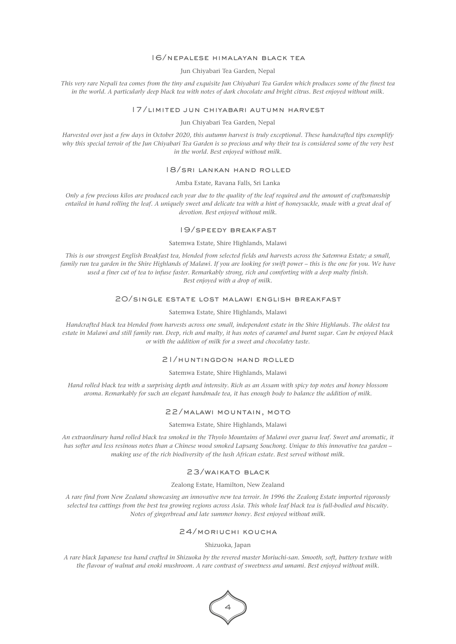#### 16/nepalese himalayan black tea

Jun Chiyabari Tea Garden, Nepal

*This very rare Nepali tea comes from the tiny and exquisite Jun Chiyabari Tea Garden which produces some of the finest tea in the world. A particularly deep black tea with notes of dark chocolate and bright citrus. Best enjoyed without milk.*

#### 17/limited jun chiyabari autumn harvest

Jun Chiyabari Tea Garden, Nepal

*Harvested over just a few days in October 2020, this autumn harvest is truly exceptional. These handcrafted tips exemplify why this special terroir of the Jun Chiyabari Tea Garden is so precious and why their tea is considered some of the very best in the world. Best enjoyed without milk.*

#### 18/sri lankan hand rolled

Amba Estate, Ravana Falls, Sri Lanka

*Only a few precious kilos are produced each year due to the quality of the leaf required and the amount of craftsmanship entailed in hand rolling the leaf. A uniquely sweet and delicate tea with a hint of honeysuckle, made with a great deal of devotion. Best enjoyed without milk.*

## 19/speedy breakfast

## Satemwa Estate, Shire Highlands, Malawi

*This is our strongest English Breakfast tea, blended from selected fields and harvests across the Satemwa Estate; a small, family run tea garden in the Shire Highlands of Malawi. If you are looking for swift power – this is the one for you. We have used a finer cut of tea to infuse faster. Remarkably strong, rich and comforting with a deep malty finish. Best enjoyed with a drop of milk.*

## 20/single estate lost malawi english breakfast

#### Satemwa Estate, Shire Highlands, Malawi

*Handcrafted black tea blended from harvests across one small, independent estate in the Shire Highlands. The oldest tea estate in Malawi and still family run. Deep, rich and malty, it has notes of caramel and burnt sugar. Can be enjoyed black or with the addition of milk for a sweet and chocolatey taste.*

## 21/huntingdon hand rolled

Satemwa Estate, Shire Highlands, Malawi

*Hand rolled black tea with a surprising depth and intensity. Rich as an Assam with spicy top notes and honey blossom aroma. Remarkably for such an elegant handmade tea, it has enough body to balance the addition of milk.*

#### 22/malawi mountain, moto

Satemwa Estate, Shire Highlands, Malawi

*An extraordinary hand rolled black tea smoked in the Thyolo Mountains of Malawi over guava leaf. Sweet and aromatic, it has softer and less resinous notes than a Chinese wood smoked Lapsang Souchong. Unique to this innovative tea garden – making use of the rich biodiversity of the lush African estate. Best served without milk.*

## 23/waikato black

#### Zealong Estate, Hamilton, New Zealand

*A rare find from New Zealand showcasing an innovative new tea terroir. In 1996 the Zealong Estate imported rigorously selected tea cuttings from the best tea growing regions across Asia. This whole leaf black tea is full-bodied and biscuity. Notes of gingerbread and late summer honey. Best enjoyed without milk.*

## 24/moriuchi koucha

Shizuoka, Japan

*A rare black Japanese tea hand crafted in Shizuoka by the revered master Moriuchi-san. Smooth, soft, buttery texture with the flavour of walnut and enoki mushroom. A rare contrast of sweetness and umami. Best enjoyed without milk.*

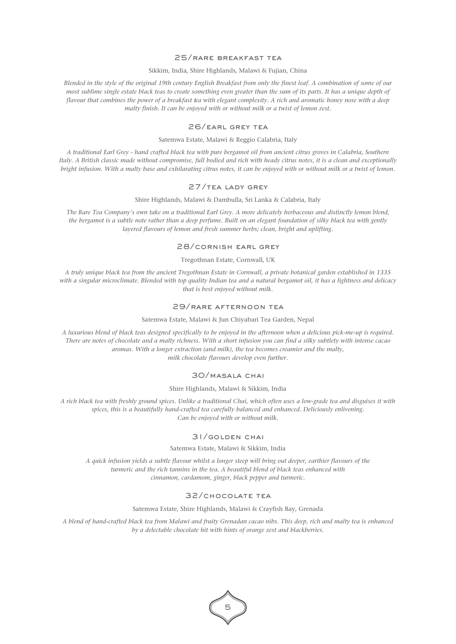## 25/rare breakfast tea

## Sikkim, India, Shire Highlands, Malawi & Fujian, China

*Blended in the style of the original 19th century English Breakfast from only the finest leaf. A combination of some of our most sublime single estate black teas to create something even greater than the sum of its parts. It has a unique depth of flavour that combines the power of a breakfast tea with elegant complexity. A rich and aromatic honey nose with a deep malty finish. It can be enjoyed with or without milk or a twist of lemon zest.*

## 26/earl grey tea

#### Satemwa Estate, Malawi & Reggio Calabria, Italy

*A traditional Earl Grey - hand crafted black tea with pure bergamot oil from ancient citrus groves in Calabria, Southern Italy. A British classic made without compromise, full bodied and rich with heady citrus notes, it is a clean and exceptionally bright infusion. With a malty base and exhilarating citrus notes, it can be enjoyed with or without milk or a twist of lemon.*

## 27/tea lady grey

#### Shire Highlands, Malawi & Dambulla, Sri Lanka & Calabria, Italy

*The Rare Tea Company's own take on a traditional Earl Grey. A more delicately herbaceous and distinctly lemon blend, the bergamot is a subtle note rather than a deep perfume. Built on an elegant foundation of silky black tea with gently layered flavours of lemon and fresh summer herbs; clean, bright and uplifting.*

## 28/cornish earl grey

## Tregothnan Estate, Cornwall, UK

*A truly unique black tea from the ancient Tregothnan Estate in Cornwall, a private botanical garden established in 1335 with a singular microclimate. Blended with top quality Indian tea and a natural bergamot oil, it has a lightness and delicacy that is best enjoyed without milk.*

## 29/rare afternoon tea

#### Satemwa Estate, Malawi & Jun Chiyabari Tea Garden, Nepal

*A luxurious blend of black teas designed specifically to be enjoyed in the afternoon when a delicious pick-me-up is required. There are notes of chocolate and a malty richness. With a short infusion you can find a silky subtlety with intense cacao aromas. With a longer extraction (and milk), the tea becomes creamier and the malty, milk chocolate flavours develop even further.*

#### 30/masala chai

#### Shire Highlands**,** Malawi & Sikkim, India

*A rich black tea with freshly ground spices. Unlike a traditional Chai, which often uses a low-grade tea and disguises it with spices, this is a beautifully hand-crafted tea carefully balanced and enhanced. Deliciously enlivening. Can be enjoyed with or without milk.*

## 31/golden chai

## Satemwa Estate, Malawi & Sikkim, India

*A quick infusion yields a subtle flavour whilst a longer steep will bring out deeper, earthier flavours of the turmeric and the rich tannins in the tea. A beautiful blend of black teas enhanced with cinnamon, cardamom, ginger, black pepper and turmeric.*

## 32/chocolate tea

#### Satemwa Estate, Shire Highlands, Malawi & Crayfish Bay, Grenada

*A blend of hand-crafted black tea from Malawi and fruity Grenadan cacao nibs. This deep, rich and malty tea is enhanced by a delectable chocolate hit with hints of orange zest and blackberries.*

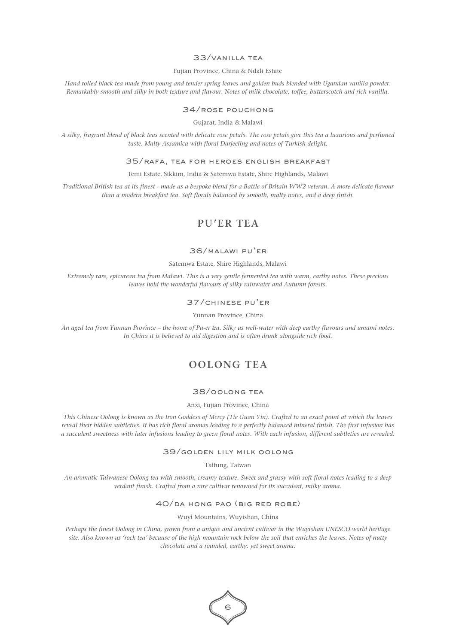## 33/vanilla tea

#### Fujian Province, China & Ndali Estate

*Hand rolled black tea made from young and tender spring leaves and golden buds blended with Ugandan vanilla powder. Remarkably smooth and silky in both texture and flavour. Notes of milk chocolate, toffee, butterscotch and rich vanilla.*

## 34/rose pouchong

Gujarat, India & Malawi

*A silky, fragrant blend of black teas scented with delicate rose petals. The rose petals give this tea a luxurious and perfumed taste. Malty Assamica with floral Darjeeling and notes of Turkish delight.*

#### 35/rafa, tea for heroes english breakfast

Temi Estate, Sikkim, India & Satemwa Estate, Shire Highlands, Malawi

*Traditional British tea at its finest - made as a bespoke blend for a Battle of Britain WW2 veteran. A more delicate flavour than a modern breakfast tea. Soft florals balanced by smooth, malty notes, and a deep finish.*

# **PU'ER TEA**

#### 36/malawi pu'er

Satemwa Estate, Shire Highlands, Malawi

*Extremely rare, epicurean tea from Malawi. This is a very gentle fermented tea with warm, earthy notes. These precious leaves hold the wonderful flavours of silky rainwater and Autumn forests.*

## 37/chinese pu'er

Yunnan Province, China

*An aged tea from Yunnan Province – the home of Pu-er tea. Silky as well-water with deep earthy flavours and umami notes. In China it is believed to aid digestion and is often drunk alongside rich food.*

# **OOLONG TEA**

## 38/oolong tea

#### Anxi, Fujian Province, China

*This Chinese Oolong is known as the Iron Goddess of Mercy (Tie Guan Yin). Crafted to an exact point at which the leaves reveal their hidden subtleties. It has rich floral aromas leading to a perfectly balanced mineral finish. The first infusion has a succulent sweetness with later infusions leading to green floral notes. With each infusion, different subtleties are revealed.*

#### 39/golden lily milk oolong

Taitung, Taiwan

*An aromatic Taiwanese Oolong tea with smooth, creamy texture. Sweet and grassy with soft floral notes leading to a deep verdant finish. Crafted from a rare cultivar renowned for its succulent, milky aroma.*

## 40/da hong pao (big red robe)

Wuyi Mountains, Wuyishan, China

*Perhaps the finest Oolong in China, grown from a unique and ancient cultivar in the Wuyishan UNESCO world heritage site. Also known as 'rock tea' because of the high mountain rock below the soil that enriches the leaves. Notes of nutty chocolate and a rounded, earthy, yet sweet aroma.*

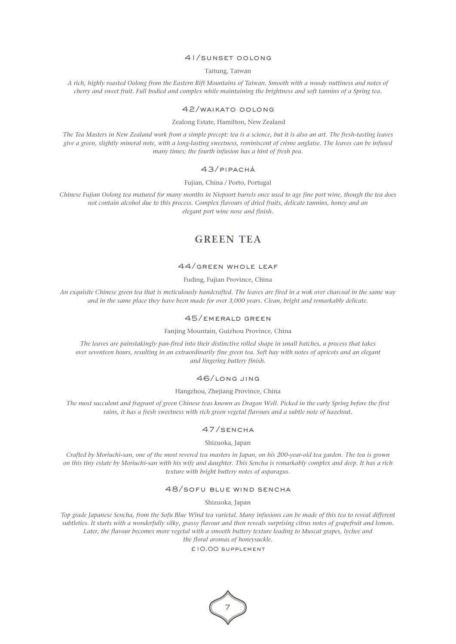## 41/sunset oolong

Taitung, Taiwan

*A rich, highly roasted Oolong from the Eastern Rift Mountains of Taiwan. Smooth with a woody nuttiness and notes of cherry and sweet fruit. Full bodied and complex while maintaining the brightness and soft tannins of a Spring tea.*

## 42/waikato oolong

#### Zealong Estate, Hamilton, New Zealand

*The Tea Masters in New Zealand work from a simple precept: tea is a science, but it is also an art. The fresh-tasting leaves give a green, slightly mineral note, with a long-lasting sweetness, reminiscent of crème anglaise. The leaves can be infused many times; the fourth infusion has a hint of fresh pea.*

## 43/pipachá

Fujian, China / Porto, Portugal

*Chinese Fujian Oolong tea matured for many months in Niepoort barrels once used to age fine port wine, though the tea does not contain alcohol due to this process. Complex flavours of dried fruits, delicate tannins, honey and an elegant port wine nose and finish.*

# **GREEN TEA**

## 44/green whole leaf

Fuding, Fujian Province, China

*An exquisite Chinese green tea that is meticulously handcrafted. The leaves are fired in a wok over charcoal in the same way and in the same place they have been made for over 3,000 years. Clean, bright and remarkably delicate.*

## 45/emerald green

Fanjing Mountain, Guizhou Province, China

*The leaves are painstakingly pan-fired into their distinctive rolled shape in small batches, a process that takes over seventeen hours, resulting in an extraordinarily fine green tea. Soft hay with notes of apricots and an elegant and lingering buttery finish.*

## 46/long jing

Hangzhou, Zhejiang Province, China

*The most succulent and fragrant of green Chinese teas known as Dragon Well. Picked in the early Spring before the first rains, it has a fresh sweetness with rich green vegetal flavours and a subtle note of hazelnut.* 

## 47/sencha

Shizuoka, Japan

*Crafted by Moriuchi-san, one of the most revered tea masters in Japan, on his 200-year-old tea garden. The tea is grown on this tiny estate by Moriuchi-san with his wife and daughter. This Sencha is remarkably complex and deep. It has a rich texture with bright buttery notes of asparagus.*

## 48/sofu blue wind sencha

Shizuoka, Japan

*Top grade Japanese Sencha, from the Sofu Blue Wind tea varietal. Many infusions can be made of this tea to reveal different subtleties. It starts with a wonderfully silky, grassy flavour and then reveals surprising citrus notes of grapefruit and lemon. Later, the flavour becomes more vegetal with a smooth buttery texture leading to Muscat grapes, lychee and the floral aromas of honeysuckle.*

£10.00 supplement

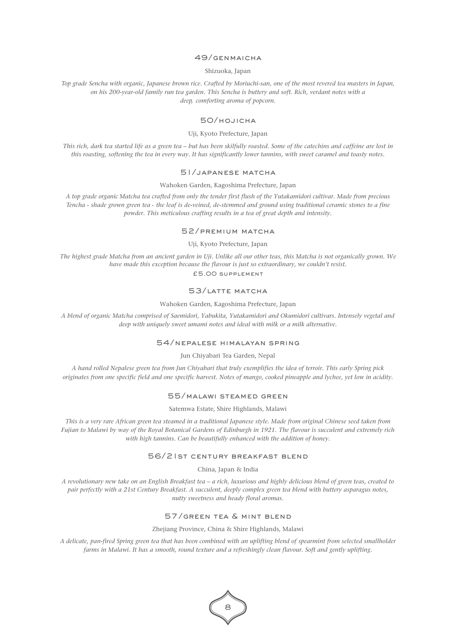## 49/genmaicha

#### Shizuoka, Japan

*Top grade Sencha with organic, Japanese brown rice. Crafted by Moriuchi-san, one of the most revered tea masters in Japan, on his 200-year-old family run tea garden. This Sencha is buttery and soft. Rich, verdant notes with a deep, comforting aroma of popcorn.*

## 50/hojicha

#### Uji, Kyoto Prefecture, Japan

*This rich, dark tea started life as a green tea – but has been skilfully roasted. Some of the catechins and caffeine are lost in this roasting, softening the tea in every way. It has significantly lower tannins, with sweet caramel and toasty notes.*

## 51/japanese matcha

#### Wahoken Garden, Kagoshima Prefecture, Japan

*A top grade organic Matcha tea crafted from only the tender first flush of the Yutakamidori cultivar. Made from precious Tencha - shade grown green tea - the leaf is de-veined, de-stemmed and ground using traditional ceramic stones to a fine powder. This meticulous crafting results in a tea of great depth and intensity.*

## 52/premium matcha

#### Uji, Kyoto Prefecture, Japan

*The highest grade Matcha from an ancient garden in Uji. Unlike all our other teas, this Matcha is not organically grown. We have made this exception because the flavour is just so extraordinary, we couldn't resist.* £5.00 supplement

## 53/latte matcha

## Wahoken Garden, Kagoshima Prefecture, Japan

*A blend of organic Matcha comprised of Saemidori, Yabukita, Yutakamidori and Okumidori cultivars. Intensely vegetal and deep with uniquely sweet umami notes and ideal with milk or a milk alternative.*

## 54/nepalese himalayan spring

Jun Chiyabari Tea Garden, Nepal

*A hand rolled Nepalese green tea from Jun Chiyabari that truly exemplifies the idea of terroir. This early Spring pick originates from one specific field and one specific harvest. Notes of mango, cooked pineapple and lychee, yet low in acidity.*

## 55/malawi steamed green

#### Satemwa Estate, Shire Highlands, Malawi

*This is a very rare African green tea steamed in a traditional Japanese style. Made from original Chinese seed taken from Fujian to Malawi by way of the Royal Botanical Gardens of Edinburgh in 1921. The flavour is succulent and extremely rich with high tannins. Can be beautifully enhanced with the addition of honey.*

## 56/21st century breakfast blend

China, Japan & India

*A revolutionary new take on an English Breakfast tea – a rich, luxurious and highly delicious blend of green teas, created to pair perfectly with a 21st Century Breakfast. A succulent, deeply complex green tea blend with buttery asparagus notes, nutty sweetness and heady floral aromas.*

## 57/green tea & mint blend

Zhejiang Province, China & Shire Highlands, Malawi

*A delicate, pan-fired Spring green tea that has been combined with an uplifting blend of spearmint from selected smallholder farms in Malawi. It has a smooth, round texture and a refreshingly clean flavour. Soft and gently uplifting.*

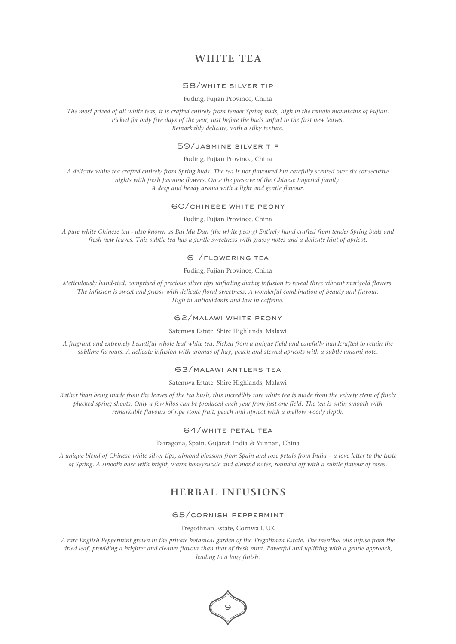# **WHITE TEA**

## 58/white silver tip

Fuding, Fujian Province, China

*The most prized of all white teas, it is crafted entirely from tender Spring buds, high in the remote mountains of Fujian. Picked for only five days of the year, just before the buds unfurl to the first new leaves. Remarkably delicate, with a silky texture.*

## 59/jasmine silver tip

#### Fuding, Fujian Province, China

*A delicate white tea crafted entirely from Spring buds. The tea is not flavoured but carefully scented over six consecutive nights with fresh Jasmine flowers. Once the preserve of the Chinese Imperial family. A deep and heady aroma with a light and gentle flavour.*

## 60/chinese white peony

## Fuding, Fujian Province, China

*A pure white Chinese tea - also known as Bai Mu Dan (the white peony) Entirely hand crafted from tender Spring buds and fresh new leaves. This subtle tea has a gentle sweetness with grassy notes and a delicate hint of apricot.*

## 61/flowering tea

## Fuding, Fujian Province, China

*Meticulously hand-tied, comprised of precious silver tips unfurling during infusion to reveal three vibrant marigold flowers. The infusion is sweet and grassy with delicate floral sweetness. A wonderful combination of beauty and flavour. High in antioxidants and low in caffeine.*

## 62/malawi white peony

## Satemwa Estate, Shire Highlands, Malawi

*A fragrant and extremely beautiful whole leaf white tea. Picked from a unique field and carefully handcrafted to retain the sublime flavours. A delicate infusion with aromas of hay, peach and stewed apricots with a subtle umami note.*

## 63/malawi antlers tea

## Satemwa Estate, Shire Highlands, Malawi

*Rather than being made from the leaves of the tea bush, this incredibly rare white tea is made from the velvety stem of finely plucked spring shoots. Only a few kilos can be produced each year from just one field. The tea is satin smooth with remarkable flavours of ripe stone fruit, peach and apricot with a mellow woody depth.*

## 64/white petal tea

Tarragona, Spain, Gujarat, India & Yunnan, China

*A unique blend of Chinese white silver tips, almond blossom from Spain and rose petals from India – a love letter to the taste of Spring. A smooth base with bright, warm honeysuckle and almond notes; rounded off with a subtle flavour of roses.*

# **HERBAL INFUSIONS**

## 65/cornish peppermint

Tregothnan Estate, Cornwall, UK

*A rare English Peppermint grown in the private botanical garden of the Tregothnan Estate. The menthol oils infuse from the dried leaf, providing a brighter and cleaner flavour than that of fresh mint. Powerful and uplifting with a gentle approach, leading to a long finish.*

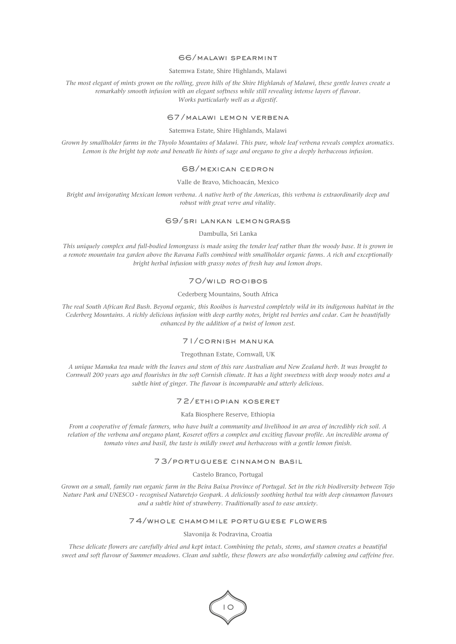#### 66/malawi spearmint

Satemwa Estate, Shire Highlands, Malawi

*The most elegant of mints grown on the rolling, green hills of the Shire Highlands of Malawi, these gentle leaves create a remarkably smooth infusion with an elegant softness while still revealing intense layers of flavour. Works particularly well as a digestif.*

#### 67/malawi lemon verbena

Satemwa Estate, Shire Highlands, Malawi

*Grown by smallholder farms in the Thyolo Mountains of Malawi. This pure, whole leaf verbena reveals complex aromatics. Lemon is the bright top note and beneath lie hints of sage and oregano to give a deeply herbaceous infusion.*

## 68/mexican cedron

#### Valle de Bravo, Michoacán, Mexico

*Bright and invigorating Mexican lemon verbena. A native herb of the Americas, this verbena is extraordinarily deep and robust with great verve and vitality.*

#### 69/sri lankan lemongrass

Dambulla, Sri Lanka

*This uniquely complex and full-bodied lemongrass is made using the tender leaf rather than the woody base. It is grown in a remote mountain tea garden above the Ravana Falls combined with smallholder organic farms. A rich and exceptionally bright herbal infusion with grassy notes of fresh hay and lemon drops.*

## 70/wild rooibos

#### Cederberg Mountains, South Africa

*The real South African Red Bush. Beyond organic, this Rooibos is harvested completely wild in its indigenous habitat in the Cederberg Mountains. A richly delicious infusion with deep earthy notes, bright red berries and cedar. Can be beautifully enhanced by the addition of a twist of lemon zest.*

## 71/cornish manuka

#### Tregothnan Estate, Cornwall, UK

*A unique Manuka tea made with the leaves and stem of this rare Australian and New Zealand herb. It was brought to Cornwall 200 years ago and flourishes in the soft Cornish climate. It has a light sweetness with deep woody notes and a subtle hint of ginger. The flavour is incomparable and utterly delicious.*

## 72/ethiopian koseret

#### Kafa Biosphere Reserve, Ethiopia

*From a cooperative of female farmers, who have built a community and livelihood in an area of incredibly rich soil. A relation of the verbena and oregano plant, Koseret offers a complex and exciting flavour profile. An incredible aroma of tomato vines and basil, the taste is mildly sweet and herbaceous with a gentle lemon finish.*

#### 73/portuguese cinnamon basil

Castelo Branco, Portugal

*Grown on a small, family run organic farm in the Beira Baixa Province of Portugal. Set in the rich biodiversity between Tejo Nature Park and UNESCO - recognised Naturetejo Geopark. A deliciously soothing herbal tea with deep cinnamon flavours and a subtle hint of strawberry. Traditionally used to ease anxiety.*

#### 74/whole chamomile portuguese flowers

#### Slavonija & Podravina, Croatia

*These delicate flowers are carefully dried and kept intact. Combining the petals, stems, and stamen creates a beautiful sweet and soft flavour of Summer meadows. Clean and subtle, these flowers are also wonderfully calming and caffeine free.*

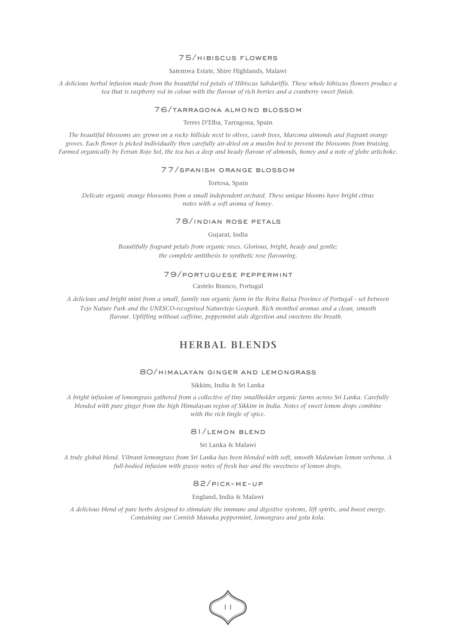## 75/hibiscus flowers

Satemwa Estate, Shire Highlands, Malawi

*A delicious herbal infusion made from the beautiful red petals of Hibiscus Sabdariffa. These whole hibiscus flowers produce a tea that is raspberry red in colour with the flavour of rich berries and a cranberry sweet finish.*

#### 76/tarragona almond blossom

Terres D'Elba, Tarragona, Spain

*The beautiful blossoms are grown on a rocky hillside next to olives, carob trees, Marcona almonds and fragrant orange groves. Each flower is picked individually then carefully air-dried on a muslin bed to prevent the blossoms from bruising. Farmed organically by Ferran Rojo Sol, the tea has a deep and heady flavour of almonds, honey and a note of globe artichoke.*

#### 77/spanish orange blossom

Tortosa, Spain

*Delicate organic orange blossoms from a small independent orchard. These unique blooms have bright citrus notes with a soft aroma of honey.* 

## 78/indian rose petals

Gujarat, India

Beautifully fragrant petals from organic roses. Glorious, bright, heady and gentle; *the complete antithesis to synthetic rose flavouring.*

## 79/portuguese peppermint

Castelo Branco, Portugal

*A delicious and bright mint from a small, family run organic farm in the Beira Baixa Province of Portugal - set between Tejo Nature Park and the UNESCO-recognised Naturetejo Geopark. Rich menthol aromas and a clean, smooth flavour. Uplifting without caffeine, peppermint aids digestion and sweetens the breath.* 

# **HERBAL BLENDS**

## 80/himalayan ginger and lemongrass

Sikkim, India & Sri Lanka

*A bright infusion of lemongrass gathered from a collective of tiny smallholder organic farms across Sri Lanka. Carefully blended with pure ginger from the high Himalayan region of Sikkim in India. Notes of sweet lemon drops combine with the rich tingle of spice.*

## 81/lemon blend

Sri Lanka & Malawi

*A truly global blend. Vibrant lemongrass from Sri Lanka has been blended with soft, smooth Malawian lemon verbena. A full-bodied infusion with grassy notes of fresh hay and the sweetness of lemon drops.*

## 82/pick-me-up

England, India & Malawi

*A delicious blend of pure herbs designed to stimulate the immune and digestive systems, lift spirits, and boost energy. Containing our Cornish Manuka peppermint, lemongrass and gotu kola.*

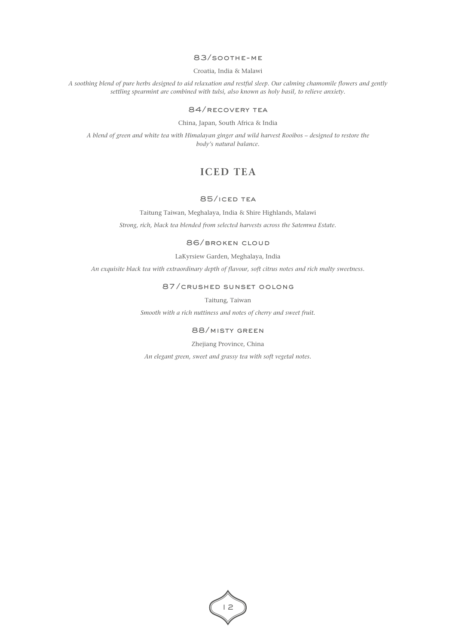## 83/soothe-me

Croatia, India & Malawi

*A soothing blend of pure herbs designed to aid relaxation and restful sleep. Our calming chamomile flowers and gently settling spearmint are combined with tulsi, also known as holy basil, to relieve anxiety.*

## 84/recovery tea

China, Japan, South Africa & India

*A blend of green and white tea with Himalayan ginger and wild harvest Rooibos – designed to restore the body's natural balance.*

# **ICED TEA**

## 85/iced tea

Taitung Taiwan, Meghalaya, India & Shire Highlands, Malawi *Strong, rich, black tea blended from selected harvests across the Satemwa Estate.*

## 86/broken cloud

LaKyrsiew Garden, Meghalaya, India

*An exquisite black tea with extraordinary depth of flavour, soft citrus notes and rich malty sweetness.*

## 87/crushed sunset oolong

Taitung, Taiwan

*Smooth with a rich nuttiness and notes of cherry and sweet fruit.*

## 88/misty green

Zhejiang Province, China

*An elegant green, sweet and grassy tea with soft vegetal notes.*